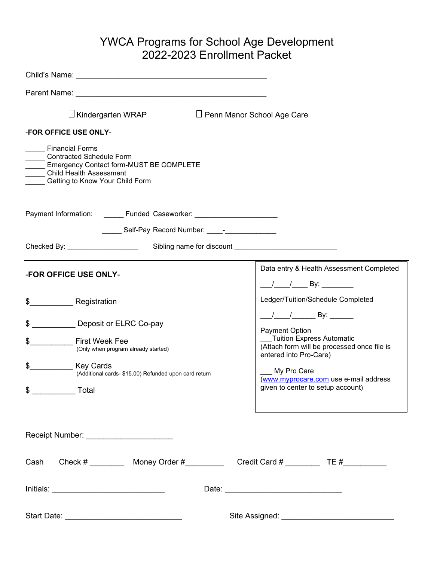## YWCA Programs for School Age Development 2022-2023 Enrollment Packet

| $\Box$ Kindergarten WRAP                                                                                                                                                                                                                                                  | $\Box$ Penn Manor School Age Care                                                                                                                                                                                                                                                                         |
|---------------------------------------------------------------------------------------------------------------------------------------------------------------------------------------------------------------------------------------------------------------------------|-----------------------------------------------------------------------------------------------------------------------------------------------------------------------------------------------------------------------------------------------------------------------------------------------------------|
| <b>-FOR OFFICE USE ONLY-</b>                                                                                                                                                                                                                                              |                                                                                                                                                                                                                                                                                                           |
| <b>Financial Forms</b><br><b>Contracted Schedule Form</b><br>Emergency Contact form-MUST BE COMPLETE<br><b>Child Health Assessment</b><br>Getting to Know Your Child Form                                                                                                 |                                                                                                                                                                                                                                                                                                           |
| Payment Information: _______ Funded Caseworker: ________________________________                                                                                                                                                                                          |                                                                                                                                                                                                                                                                                                           |
| ______ Self-Pay Record Number: ____- <sup>_</sup> ______________                                                                                                                                                                                                          |                                                                                                                                                                                                                                                                                                           |
|                                                                                                                                                                                                                                                                           |                                                                                                                                                                                                                                                                                                           |
| <b>-FOR OFFICE USE ONLY-</b><br><b>Registration</b><br>\$<br>\$<br>Deposit or ELRC Co-pay<br>\$<br><b>First Week Fee</b><br>(Only when program already started)<br><b>Key Cards</b><br>\$<br>(Additional cards- \$15.00) Refunded upon card return<br>$\frac{1}{2}$ Total | Data entry & Health Assessment Completed<br>Ledger/Tuition/Schedule Completed<br>Payment Option<br><b>Tuition Express Automatic</b><br>(Attach form will be processed once file is<br>entered into Pro-Care)<br>My Pro Care<br>(www.myprocare.com use e-mail address<br>given to center to setup account) |
| Receipt Number: _______________________                                                                                                                                                                                                                                   |                                                                                                                                                                                                                                                                                                           |
|                                                                                                                                                                                                                                                                           |                                                                                                                                                                                                                                                                                                           |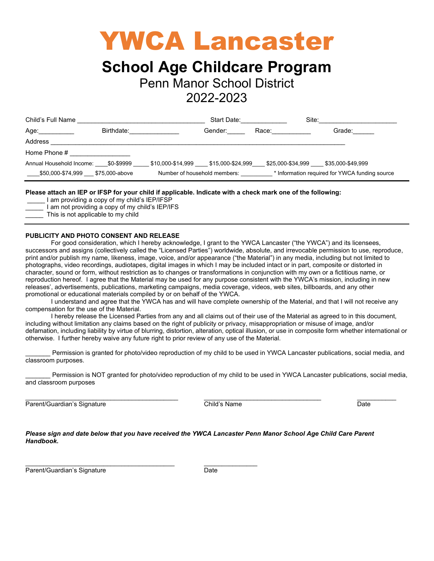# YWCA Lancaster

## **School Age Childcare Program**

Penn Manor School District

## 2022-2023

| Child's Full Name                   |            |                              | Start Date:                         |       | Site:                                          |
|-------------------------------------|------------|------------------------------|-------------------------------------|-------|------------------------------------------------|
| Age:___________                     | Birthdate: |                              | Gender:                             | Race: | Grade:                                         |
| Address                             |            |                              |                                     |       |                                                |
| Home Phone #                        |            |                              |                                     |       |                                                |
| Annual Household Income: \$0-\$9999 |            |                              | \$10,000-\$14,999 \$15,000-\$24,999 |       | \$25,000-\$34,999 \$35,000-\$49,999            |
| \$50,000-\$74,999 \$75,000-above    |            | Number of household members: |                                     |       | * Information required for YWCA funding source |

#### **Please attach an IEP or IFSP for your child if applicable. Indicate with a check mark one of the following:**

- I am providing a copy of my child's IEP/IFSP
- I am not providing a copy of my child's IEP/IFS
- This is not applicable to my child

#### **PUBLICITY AND PHOTO CONSENT AND RELEASE**

For good consideration, which I hereby acknowledge, I grant to the YWCA Lancaster ("the YWCA") and its licensees, successors and assigns (collectively called the "Licensed Parties") worldwide, absolute, and irrevocable permission to use, reproduce, print and/or publish my name, likeness, image, voice, and/or appearance ("the Material") in any media, including but not limited to photographs, video recordings, audiotapes, digital images in which I may be included intact or in part, composite or distorted in character, sound or form, without restriction as to changes or transformations in conjunction with my own or a fictitious name, or reproduction hereof. I agree that the Material may be used for any purpose consistent with the YWCA's mission, including in new releases', advertisements, publications, marketing campaigns, media coverage, videos, web sites, billboards, and any other promotional or educational materials compiled by or on behalf of the YWCA.

I understand and agree that the YWCA has and will have complete ownership of the Material, and that I will not receive any compensation for the use of the Material.

I hereby release the Licensed Parties from any and all claims out of their use of the Material as agreed to in this document, including without limitation any claims based on the right of publicity or privacy, misappropriation or misuse of image, and/or defamation, including liability by virtue of blurring, distortion, alteration, optical illusion, or use in composite form whether international or otherwise. I further hereby waive any future right to prior review of any use of the Material.

Permission is granted for photo/video reproduction of my child to be used in YWCA Lancaster publications, social media, and classroom purposes.

Permission is NOT granted for photo/video reproduction of my child to be used in YWCA Lancaster publications, social media, and classroom purposes

\_\_\_\_\_\_\_\_\_\_\_\_\_\_\_\_\_\_\_\_\_\_\_\_\_\_\_\_\_\_\_\_\_\_\_\_\_\_\_\_\_\_\_ \_\_\_\_\_\_\_\_\_\_\_\_\_\_\_\_\_\_\_\_\_\_\_\_\_\_\_\_\_\_\_\_\_ \_\_\_\_\_\_\_\_\_\_\_ Parent/Guardian's Signature Child's Name Child's Name Date

*Please sign and date below that you have received the YWCA Lancaster Penn Manor School Age Child Care Parent Handbook.*

Parent/Guardian's Signature Date Date

 $\frac{1}{2}$  ,  $\frac{1}{2}$  ,  $\frac{1}{2}$  ,  $\frac{1}{2}$  ,  $\frac{1}{2}$  ,  $\frac{1}{2}$  ,  $\frac{1}{2}$  ,  $\frac{1}{2}$  ,  $\frac{1}{2}$  ,  $\frac{1}{2}$  ,  $\frac{1}{2}$  ,  $\frac{1}{2}$  ,  $\frac{1}{2}$  ,  $\frac{1}{2}$  ,  $\frac{1}{2}$  ,  $\frac{1}{2}$  ,  $\frac{1}{2}$  ,  $\frac{1}{2}$  ,  $\frac{1$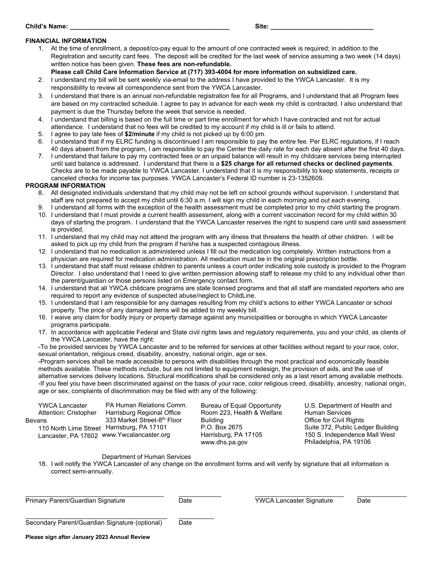#### **Child's Name: Site: Site: Site: Site: Site: Site: Site: Site: Site: Site: Site: Site: Site: Site: Site: Site: Site: Site: Site: Site: Site: Site: Site: Site: Site: Site:**

#### **FINANCIAL INFORMATION**

- 1. At the time of enrollment, a deposit/co-pay equal to the amount of one contracted week is required; in addition to the Registration and security card fees. The deposit will be credited for the last week of service assuming a two week (14 days) written notice has been given. **These fees are non-refundable.**
	- **Please call Child Care Information Service at (717) 393-4004 for more information on subsidized care.**
- 2. I understand my bill will be sent weekly via-email to the address I have provided to the YWCA Lancaster. It is my responsibility to review all correspondence sent from the YWCA Lancaster.
- 3. I understand that there is an annual non-refundable registration fee for all Programs, and I understand that all Program fees are based on my contracted schedule. I agree to pay in advance for each week my child is contracted. I also understand that payment is due the Thursday before the week that service is needed.
- 4. I understand that billing is based on the full time or part time enrollment for which I have contracted and not for actual attendance. I understand that no fees will be credited to my account if my child is ill or fails to attend.
- 5. I agree to pay late fees of **\$2/minute** if my child is not picked up by 6:00 pm.
- 6. I understand that if my ELRC funding is discontinued I am responsible to pay the entire fee. Per ELRC regulations, if I reach 40 days absent from the program, I am responsible to pay the Center the daily rate for each day absent after the first 40 days.
- 7. I understand that failure to pay my contracted fees or an unpaid balance will result in my childcare services being interrupted until said balance is addressed. I understand that there is a **\$25 charge for all returned checks or declined payments**. Checks are to be made payable to YWCA Lancaster. I understand that it is my responsibility to keep statements, receipts or canceled checks for income tax purposes. YWCA Lancaster's Federal ID number is 23-1352609.

#### **PROGRAM INFORMATION**

- 8. All designated individuals understand that my child may not be left on school grounds without supervision. I understand that staff are not prepared to accept my child until 6:30 a.m. I will sign my child in each morning and out each evening.
- 9. I understand all forms with the exception of the health assessment must be completed prior to my child starting the program.
- 10. I understand that I must provide a current health assessment, along with a current vaccination record for my child within 30 days of starting the program. I understand that the YWCA Lancaster reserves the right to suspend care until said assessment is provided.
- 11. I understand that my child may not attend the program with any illness that threatens the health of other children. I will be asked to pick up my child from the program if he/she has a suspected contagious illness.
- 12. I understand that no medication is administered unless I fill out the medication log completely. Written instructions from a physician are required for medication administration. All medication must be in the original prescription bottle.
- 13. I understand that staff must release children to parents unless a court order indicating sole custody is provided to the Program Director. I also understand that I need to give written permission allowing staff to release my child to any individual other than the parent/guardian or those persons listed on Emergency contact form.
- 14. I understand that all YWCA childcare programs are state licensed programs and that all staff are mandated reporters who are required to report any evidence of suspected abuse/neglect to ChildLine.
- 15. I understand that I am responsible for any damages resulting from my child's actions to either YWCA Lancaster or school property. The price of any damaged items will be added to my weekly bill.
- 16. I waive any claim for bodily injury or property damage against any municipalities or boroughs in which YWCA Lancaster programs participate.
- 17. In accordance with applicable Federal and State civil rights laws and regulatory requirements, you and your child, as clients of the YWCA Lancaster, have the right:

-To be provided services by YWCA Lancaster and to be referred for services at other facilities without regard to your race, color, sexual orientation, religious creed, disability, ancestry, national origin, age or sex.

-Program services shall be made accessible to persons with disabilities through the most practical and economically feasible methods available. These methods include, but are not limited to equipment redesign, the provision of aids, and the use of alternative services delivery locations. Structural modifications shall be considered only as a last resort among available methods. -If you feel you have been discriminated against on the basis of your race, color religious creed, disability, ancestry, national origin, age or sex, complaints of discrimination may be filed with any of the following:

| <b>YWCA Lancaster</b> | PA Human Relations Comm.                  | Bureau of Equal Opportunity | U.S. Department of Health and     |
|-----------------------|-------------------------------------------|-----------------------------|-----------------------------------|
| Attention: Cristopher | Harrisburg Regional Office                | Room 223, Health & Welfare  | <b>Human Services</b>             |
| evans                 | 333 Market Street-8th Floor               | <b>Building</b>             | Office for Civil Rights           |
| 110 North Lime Street | Harrisburg, PA 17101                      | P.O. Box 2675               | Suite 372, Public Ledger Building |
|                       | Lancaster, PA 17602 www.Ywcalancaster.org | Harrisburg, PA 17105        | 150 S. Independence Mall West     |
|                       |                                           | www.dhs.pa.gov              | Philadelphia, PA 19106            |

Department of Human Services

18. I will notify the YWCA Lancaster of any change on the enrollment forms and will verify by signature that all information is correct semi-annually.

 $\_$  ,  $\_$  ,  $\_$  ,  $\_$  ,  $\_$  ,  $\_$  ,  $\_$  ,  $\_$  ,  $\_$  ,  $\_$  ,  $\_$  ,  $\_$  ,  $\_$  ,  $\_$  ,  $\_$  ,  $\_$  ,  $\_$  ,  $\_$  ,  $\_$  ,  $\_$  ,  $\_$  ,  $\_$  ,  $\_$  ,  $\_$  ,  $\_$  ,  $\_$  ,  $\_$  ,  $\_$  ,  $\_$  ,  $\_$  ,  $\_$  ,  $\_$  ,  $\_$  ,  $\_$  ,  $\_$  ,  $\_$  ,  $\_$  ,

Primary Parent/Guardian Signature Date YWCA Lancaster Signature Date

 $Be$ 

| Secondary Parent/Guardian Signature (optional) | Date |  |
|------------------------------------------------|------|--|

**Please sign after January 2023 Annual Review**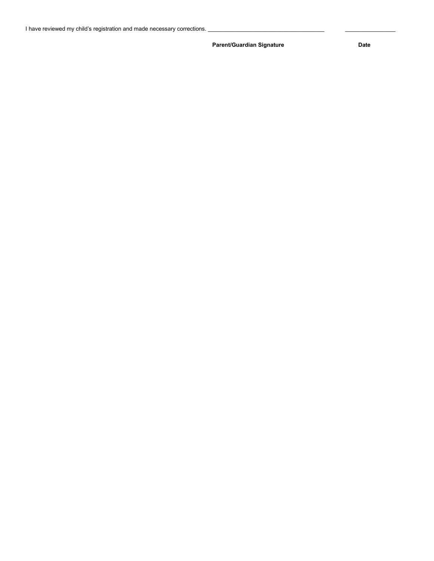Parent/Guardian Signature **Date** Date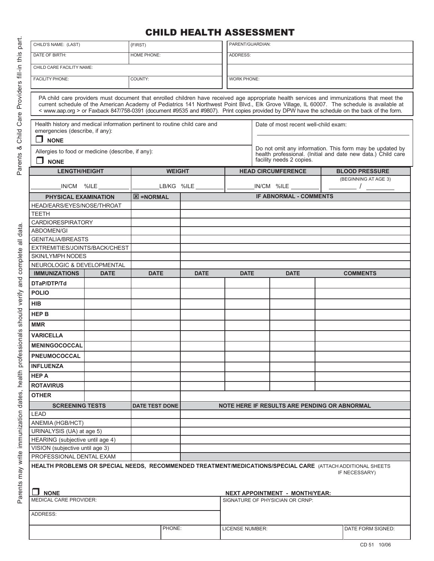## CHILD HEALTH ASSESSMENT

| CHILD'S NAME: (LAST)                                                                                                        |             | (FIRST)               |               |             | PARENT/GUARDIAN:   |  |                                              |  |                                                                                                                                                                                                                                                                                                                                                                                                                                          |
|-----------------------------------------------------------------------------------------------------------------------------|-------------|-----------------------|---------------|-------------|--------------------|--|----------------------------------------------|--|------------------------------------------------------------------------------------------------------------------------------------------------------------------------------------------------------------------------------------------------------------------------------------------------------------------------------------------------------------------------------------------------------------------------------------------|
| DATE OF BIRTH:                                                                                                              |             | <b>HOME PHONE:</b>    |               |             | ADDRESS:           |  |                                              |  |                                                                                                                                                                                                                                                                                                                                                                                                                                          |
| CHILD CARE FACILITY NAME:                                                                                                   |             |                       |               |             |                    |  |                                              |  |                                                                                                                                                                                                                                                                                                                                                                                                                                          |
| <b>FACILITY PHONE:</b>                                                                                                      |             | COUNTY:               |               |             | <b>WORK PHONE:</b> |  |                                              |  |                                                                                                                                                                                                                                                                                                                                                                                                                                          |
|                                                                                                                             |             |                       |               |             |                    |  |                                              |  |                                                                                                                                                                                                                                                                                                                                                                                                                                          |
|                                                                                                                             |             |                       |               |             |                    |  |                                              |  | PA child care providers must document that enrolled children have received age appropriate health services and immunizations that meet the<br>current schedule of the American Academy of Pediatrics 141 Northwest Point Blvd., Elk Grove Village, IL 60007. The schedule is available at<br>< www.aap.org > or Faxback 847/758-0391 (document #9535 and #9807). Print copies provided by DPW have the schedule on the back of the form. |
| Health history and medical information pertinent to routine child care and<br>emergencies (describe, if any):               |             |                       |               |             |                    |  | Date of most recent well-child exam:         |  |                                                                                                                                                                                                                                                                                                                                                                                                                                          |
| n<br><b>NONE</b>                                                                                                            |             |                       |               |             |                    |  |                                              |  |                                                                                                                                                                                                                                                                                                                                                                                                                                          |
| Allergies to food or medicine (describe, if any):                                                                           |             |                       |               |             |                    |  |                                              |  | Do not omit any information. This form may be updated by<br>health professional. (Initial and date new data.) Child care                                                                                                                                                                                                                                                                                                                 |
| $\Box$ none                                                                                                                 |             |                       |               |             |                    |  | facility needs 2 copies.                     |  |                                                                                                                                                                                                                                                                                                                                                                                                                                          |
| <b>LENGTH/HEIGHT</b>                                                                                                        |             |                       | <b>WEIGHT</b> |             |                    |  | <b>HEAD CIRCUMFERENCE</b>                    |  | <b>BLOOD PRESSURE</b>                                                                                                                                                                                                                                                                                                                                                                                                                    |
| IN/CM %ILE                                                                                                                  |             |                       | LB/KG %ILE    |             |                    |  | IN/CM %ILE                                   |  | (BEGINNING AT AGE 3)                                                                                                                                                                                                                                                                                                                                                                                                                     |
| <b>PHYSICAL EXAMINATION</b>                                                                                                 |             | $\boxtimes$ =NORMAL   |               |             |                    |  | <b>IF ABNORMAL - COMMENTS</b>                |  |                                                                                                                                                                                                                                                                                                                                                                                                                                          |
| HEAD/EARS/EYES/NOSE/THROAT                                                                                                  |             |                       |               |             |                    |  |                                              |  |                                                                                                                                                                                                                                                                                                                                                                                                                                          |
| <b>TEETH</b>                                                                                                                |             |                       |               |             |                    |  |                                              |  |                                                                                                                                                                                                                                                                                                                                                                                                                                          |
| <b>CARDIORESPIRATORY</b>                                                                                                    |             |                       |               |             |                    |  |                                              |  |                                                                                                                                                                                                                                                                                                                                                                                                                                          |
| ABDOMEN/GI                                                                                                                  |             |                       |               |             |                    |  |                                              |  |                                                                                                                                                                                                                                                                                                                                                                                                                                          |
| <b>GENITALIA/BREASTS</b>                                                                                                    |             |                       |               |             |                    |  |                                              |  |                                                                                                                                                                                                                                                                                                                                                                                                                                          |
| EXTREMITIES/JOINTS/BACK/CHEST                                                                                               |             |                       |               |             |                    |  |                                              |  |                                                                                                                                                                                                                                                                                                                                                                                                                                          |
| <b>SKIN/LYMPH NODES</b>                                                                                                     |             |                       |               |             |                    |  |                                              |  |                                                                                                                                                                                                                                                                                                                                                                                                                                          |
| NEUROLOGIC & DEVELOPMENTAL                                                                                                  |             |                       |               |             |                    |  |                                              |  |                                                                                                                                                                                                                                                                                                                                                                                                                                          |
| <b>IMMUNIZATIONS</b>                                                                                                        | <b>DATE</b> | <b>DATE</b>           |               | <b>DATE</b> | <b>DATE</b>        |  | <b>DATE</b>                                  |  | <b>COMMENTS</b>                                                                                                                                                                                                                                                                                                                                                                                                                          |
| DTaP/DTP/Td                                                                                                                 |             |                       |               |             |                    |  |                                              |  |                                                                                                                                                                                                                                                                                                                                                                                                                                          |
| <b>POLIO</b>                                                                                                                |             |                       |               |             |                    |  |                                              |  |                                                                                                                                                                                                                                                                                                                                                                                                                                          |
| <b>HIB</b>                                                                                                                  |             |                       |               |             |                    |  |                                              |  |                                                                                                                                                                                                                                                                                                                                                                                                                                          |
| <b>HEP B</b>                                                                                                                |             |                       |               |             |                    |  |                                              |  |                                                                                                                                                                                                                                                                                                                                                                                                                                          |
| <b>MMR</b>                                                                                                                  |             |                       |               |             |                    |  |                                              |  |                                                                                                                                                                                                                                                                                                                                                                                                                                          |
| <b>VARICELLA</b>                                                                                                            |             |                       |               |             |                    |  |                                              |  |                                                                                                                                                                                                                                                                                                                                                                                                                                          |
| <b>MENINGOCOCCAL</b>                                                                                                        |             |                       |               |             |                    |  |                                              |  |                                                                                                                                                                                                                                                                                                                                                                                                                                          |
| PNEUMOCOCCAL                                                                                                                |             |                       |               |             |                    |  |                                              |  |                                                                                                                                                                                                                                                                                                                                                                                                                                          |
| <b>INFLUENZA</b>                                                                                                            |             |                       |               |             |                    |  |                                              |  |                                                                                                                                                                                                                                                                                                                                                                                                                                          |
| <b>HEP A</b>                                                                                                                |             |                       |               |             |                    |  |                                              |  |                                                                                                                                                                                                                                                                                                                                                                                                                                          |
| <b>ROTAVIRUS</b>                                                                                                            |             |                       |               |             |                    |  |                                              |  |                                                                                                                                                                                                                                                                                                                                                                                                                                          |
| <b>OTHER</b>                                                                                                                |             |                       |               |             |                    |  |                                              |  |                                                                                                                                                                                                                                                                                                                                                                                                                                          |
| <b>SCREENING TESTS</b>                                                                                                      |             | <b>DATE TEST DONE</b> |               |             |                    |  | NOTE HERE IF RESULTS ARE PENDING OR ABNORMAL |  |                                                                                                                                                                                                                                                                                                                                                                                                                                          |
| <b>LEAD</b>                                                                                                                 |             |                       |               |             |                    |  |                                              |  |                                                                                                                                                                                                                                                                                                                                                                                                                                          |
| ANEMIA (HGB/HCT)                                                                                                            |             |                       |               |             |                    |  |                                              |  |                                                                                                                                                                                                                                                                                                                                                                                                                                          |
| URINALYSIS (UA) at age 5)                                                                                                   |             |                       |               |             |                    |  |                                              |  |                                                                                                                                                                                                                                                                                                                                                                                                                                          |
| HEARING (subjective until age 4)                                                                                            |             |                       |               |             |                    |  |                                              |  |                                                                                                                                                                                                                                                                                                                                                                                                                                          |
| VISION (subjective until age 3)                                                                                             |             |                       |               |             |                    |  |                                              |  |                                                                                                                                                                                                                                                                                                                                                                                                                                          |
| PROFESSIONAL DENTAL EXAM                                                                                                    |             |                       |               |             |                    |  |                                              |  |                                                                                                                                                                                                                                                                                                                                                                                                                                          |
| HEALTH PROBLEMS OR SPECIAL NEEDS, RECOMMENDED TREATMENT/MEDICATIONS/SPECIAL CARE (ATTACH ADDITIONAL SHEETS<br>IF NECESSARY) |             |                       |               |             |                    |  |                                              |  |                                                                                                                                                                                                                                                                                                                                                                                                                                          |
| <b>NONE</b>                                                                                                                 |             |                       |               |             |                    |  |                                              |  |                                                                                                                                                                                                                                                                                                                                                                                                                                          |
|                                                                                                                             |             |                       |               |             |                    |  | <u>NEXT APPOINTMENT - MONTH/YEAR:</u>        |  |                                                                                                                                                                                                                                                                                                                                                                                                                                          |
| <b>MEDICAL CARE PROVIDER:</b>                                                                                               |             |                       |               |             |                    |  | SIGNATURE OF PHYSICIAN OR CRNP:              |  |                                                                                                                                                                                                                                                                                                                                                                                                                                          |
| ADDRESS:                                                                                                                    |             |                       |               |             |                    |  |                                              |  |                                                                                                                                                                                                                                                                                                                                                                                                                                          |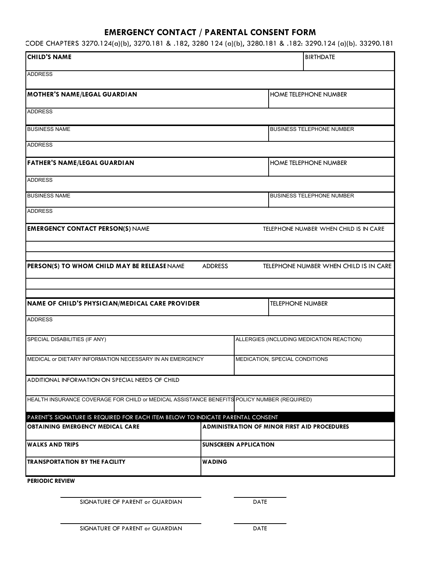## **EMERGENCY CONTACT / PARENTAL CONSENT FORM**

CODE CHAPTERS 3270.124(a)(b), 3270.181 & .182, 3280 124 (a)(b), 3280.181 & .182: 3290.124 (a)(b). 33290.181

| <b>CHILD'S NAME</b>                                                                         |                |                              | <b>BIRTHDATE</b>                                    |  |  |
|---------------------------------------------------------------------------------------------|----------------|------------------------------|-----------------------------------------------------|--|--|
| <b>ADDRESS</b>                                                                              |                |                              |                                                     |  |  |
| <b>MOTHER'S NAME/LEGAL GUARDIAN</b>                                                         |                |                              | <b>HOME TELEPHONE NUMBER</b>                        |  |  |
| <b>ADDRESS</b>                                                                              |                |                              |                                                     |  |  |
| <b>BUSINESS NAME</b>                                                                        |                |                              | <b>BUSINESS TELEPHONE NUMBER</b>                    |  |  |
| <b>ADDRESS</b>                                                                              |                |                              |                                                     |  |  |
| <b>FATHER'S NAME/LEGAL GUARDIAN</b>                                                         |                |                              | <b>HOME TELEPHONE NUMBER</b>                        |  |  |
| <b>ADDRESS</b>                                                                              |                |                              |                                                     |  |  |
| <b>BUSINESS NAME</b>                                                                        |                |                              | <b>BUSINESS TELEPHONE NUMBER</b>                    |  |  |
| <b>ADDRESS</b>                                                                              |                |                              |                                                     |  |  |
| <b>EMERGENCY CONTACT PERSON(S) NAME</b>                                                     |                |                              | TELEPHONE NUMBER WHEN CHILD IS IN CARE              |  |  |
|                                                                                             |                |                              |                                                     |  |  |
| PERSON(S) TO WHOM CHILD MAY BE RELEASE NAME                                                 | <b>ADDRESS</b> |                              | TELEPHONE NUMBER WHEN CHILD IS IN CARE              |  |  |
|                                                                                             |                |                              |                                                     |  |  |
| NAME OF CHILD'S PHYSICIAN/MEDICAL CARE PROVIDER                                             |                |                              | <b>TELEPHONE NUMBER</b>                             |  |  |
| <b>ADDRESS</b>                                                                              |                |                              |                                                     |  |  |
| SPECIAL DISABILITIES (IF ANY)                                                               |                |                              | ALLERGIES (INCLUDING MEDICATION REACTION)           |  |  |
| MEDICAL or DIETARY INFORMATION NECESSARY IN AN EMERGENCY                                    |                |                              | MEDICATION, SPECIAL CONDITIONS                      |  |  |
| ADDITIONAL INFORMATION ON SPECIAL NEEDS OF CHILD                                            |                |                              |                                                     |  |  |
| HEALTH INSURANCE COVERAGE FOR CHILD or MEDICAL ASSISTANCE BENEFITS POLICY NUMBER (REQUIRED) |                |                              |                                                     |  |  |
| PARENT'S SIGNATURE IS REQUIRED FOR EACH ITEM BELOW TO INDICATE PARENTAL CONSENT             |                |                              |                                                     |  |  |
| <b>OBTAINING EMERGENCY MEDICAL CARE</b>                                                     |                |                              | <b>ADMINISTRATION OF MINOR FIRST AID PROCEDURES</b> |  |  |
| IWALKS AND TRIPS                                                                            |                | <b>SUNSCREEN APPLICATION</b> |                                                     |  |  |
| <b>TRANSPORTATION BY THE FACILITY</b>                                                       | WADING         |                              |                                                     |  |  |
| <b>PERIODIC REVIEW</b>                                                                      |                |                              |                                                     |  |  |

SIGNATURE OF PARENT or GUARDIAN DATE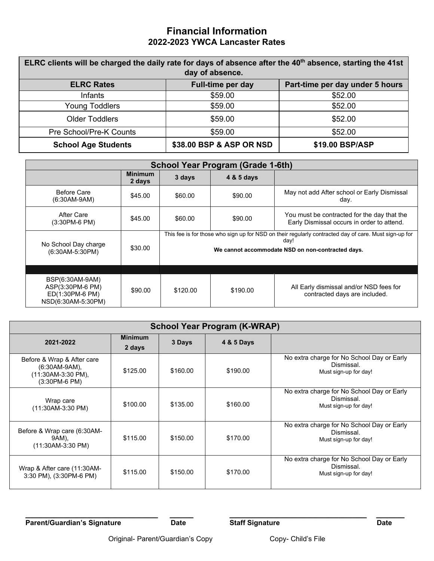### **Financial Information 2022-2023 YWCA Lancaster Rates**

| ELRC clients will be charged the daily rate for days of absence after the 40 <sup>th</sup> absence, starting the 41st<br>day of absence. |                          |                                 |  |  |  |  |  |
|------------------------------------------------------------------------------------------------------------------------------------------|--------------------------|---------------------------------|--|--|--|--|--|
| <b>ELRC Rates</b>                                                                                                                        | Full-time per day        | Part-time per day under 5 hours |  |  |  |  |  |
| <b>Infants</b>                                                                                                                           | \$59.00                  | \$52.00                         |  |  |  |  |  |
| <b>Young Toddlers</b>                                                                                                                    | \$59.00                  | \$52.00                         |  |  |  |  |  |
| <b>Older Toddlers</b>                                                                                                                    | \$59.00                  | \$52.00                         |  |  |  |  |  |
| Pre School/Pre-K Counts                                                                                                                  | \$59.00                  | \$52.00                         |  |  |  |  |  |
| <b>School Age Students</b>                                                                                                               | \$38.00 BSP & ASP OR NSD | \$19.00 BSP/ASP                 |  |  |  |  |  |

| <b>School Year Program (Grade 1-6th)</b>                                     |                          |                                                                                                                                                                    |            |                                                                                           |  |  |  |
|------------------------------------------------------------------------------|--------------------------|--------------------------------------------------------------------------------------------------------------------------------------------------------------------|------------|-------------------------------------------------------------------------------------------|--|--|--|
|                                                                              | <b>Minimum</b><br>2 days | 3 days                                                                                                                                                             | 4 & 5 days |                                                                                           |  |  |  |
| <b>Before Care</b><br>$(6:30AM-9AM)$                                         | \$45.00                  | \$60.00                                                                                                                                                            | \$90.00    | May not add After school or Early Dismissal<br>day.                                       |  |  |  |
| After Care<br>(3:30PM-6 PM)                                                  | \$45.00                  | \$60.00                                                                                                                                                            | \$90.00    | You must be contracted for the day that the<br>Early Dismissal occurs in order to attend. |  |  |  |
| No School Day charge<br>(6:30AM-5:30PM)                                      | \$30.00                  | This fee is for those who sign up for NSD on their regularly contracted day of care. Must sign-up for<br>day!<br>We cannot accommodate NSD on non-contracted days. |            |                                                                                           |  |  |  |
|                                                                              |                          |                                                                                                                                                                    |            |                                                                                           |  |  |  |
| BSP(6:30AM-9AM)<br>ASP(3:30PM-6 PM)<br>ED(1:30PM-6 PM)<br>NSD(6:30AM-5:30PM) | \$90.00                  | \$120.00                                                                                                                                                           | \$190.00   | All Early dismissal and/or NSD fees for<br>contracted days are included.                  |  |  |  |

| <b>School Year Program (K-WRAP)</b>                                                   |                          |          |          |                                                                                   |  |  |  |
|---------------------------------------------------------------------------------------|--------------------------|----------|----------|-----------------------------------------------------------------------------------|--|--|--|
| 2021-2022                                                                             | <b>Minimum</b><br>2 days |          |          |                                                                                   |  |  |  |
| Before & Wrap & After care<br>$(6:30AM-9AM)$ ,<br>(11:30AM-3:30 PM),<br>(3:30PM-6 PM) | \$125.00                 | \$160.00 | \$190.00 | No extra charge for No School Day or Early<br>Dismissal.<br>Must sign-up for day! |  |  |  |
| Wrap care<br>$(11:30AM-3:30PM)$                                                       | \$100.00                 | \$135.00 | \$160.00 | No extra charge for No School Day or Early<br>Dismissal.<br>Must sign-up for day! |  |  |  |
| Before & Wrap care (6:30AM-<br>9AM),<br>$(11:30AM-3:30PM)$                            | \$115.00                 | \$150.00 | \$170.00 | No extra charge for No School Day or Early<br>Dismissal.<br>Must sign-up for day! |  |  |  |
| Wrap & After care (11:30AM-<br>3:30 PM), (3:30PM-6 PM)                                | \$115.00                 | \$150.00 | \$170.00 | No extra charge for No School Day or Early<br>Dismissal.<br>Must sign-up for day! |  |  |  |

**\_\_\_\_\_\_\_\_\_\_\_\_\_\_\_\_\_\_\_\_\_\_\_\_\_\_\_\_ \_\_\_\_\_ \_\_\_\_\_\_\_\_\_\_\_\_\_\_\_\_\_\_\_\_\_\_\_\_\_\_\_\_\_ \_\_\_\_\_\_** Parent/Guardian's Signature Date Date Staff Signature Date Date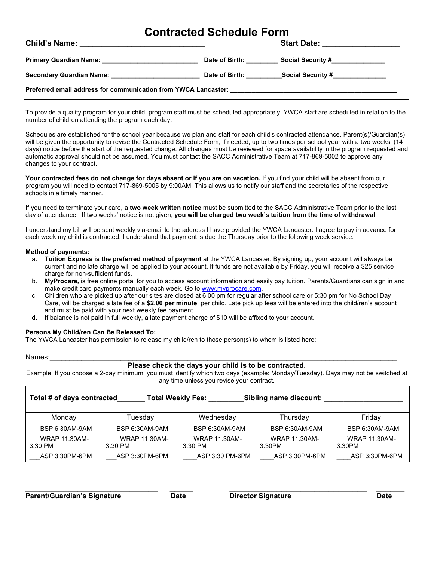## **Contracted Schedule Form**

| <b>Child's Name:</b><br>the control of the control of the control of the control of the control of the control of the control of the control of the control of the control of the control of the control of the control of the control of the control |                |                                                                                                                                                                                                                                                                                                                                                                                                                                                                                                                       |  |  |  |  |
|-------------------------------------------------------------------------------------------------------------------------------------------------------------------------------------------------------------------------------------------------------|----------------|-----------------------------------------------------------------------------------------------------------------------------------------------------------------------------------------------------------------------------------------------------------------------------------------------------------------------------------------------------------------------------------------------------------------------------------------------------------------------------------------------------------------------|--|--|--|--|
| Primary Guardian Name: 2008. Express a material contract of the state of the state of the state of the state o                                                                                                                                        | Date of Birth: | Social Security #_______________                                                                                                                                                                                                                                                                                                                                                                                                                                                                                      |  |  |  |  |
| Secondary Guardian Name: Secondary Guardian Name:                                                                                                                                                                                                     | Date of Birth: | $\textcolor{red}{\textbf{Social Security}\#_{\textcolor{red}{\textbf{2}}\textcolor{blue}{\textbf{2}}\textcolor{blue}{\textbf{Social} S}\textcolor{blue}{\textbf{E}\textcolor{blue}{\textbf{C}^\textbf{2}}\textcolor{blue}{\textbf{C}^\textbf{3}}\textcolor{blue}{\textbf{C}^\textbf{4}}\textcolor{blue}{\textbf{D}^\textbf{5}}\textcolor{blue}{\textbf{D}^\textbf{6}}\textcolor{blue}{\textbf{D}^\textbf{7}}\textcolor{blue}{\textbf{D}^\textbf{8}}\textcolor{blue}{\textbf{D}^\textbf{9}}\textcolor{blue}{\textbf{D$ |  |  |  |  |
|                                                                                                                                                                                                                                                       |                |                                                                                                                                                                                                                                                                                                                                                                                                                                                                                                                       |  |  |  |  |

To provide a quality program for your child, program staff must be scheduled appropriately. YWCA staff are scheduled in relation to the number of children attending the program each day.

Schedules are established for the school year because we plan and staff for each child's contracted attendance. Parent(s)/Guardian(s) will be given the opportunity to revise the Contracted Schedule Form, if needed, up to two times per school year with a two weeks' (14 days) notice before the start of the requested change. All changes must be reviewed for space availability in the program requested and automatic approval should not be assumed. You must contact the SACC Administrative Team at 717-869-5002 to approve any changes to your contract.

**Your contracted fees do not change for days absent or if you are on vacation.** If you find your child will be absent from our program you will need to contact 717-869-5005 by 9:00AM. This allows us to notify our staff and the secretaries of the respective schools in a timely manner.

If you need to terminate your care, a **two week written notice** must be submitted to the SACC Administrative Team prior to the last day of attendance. If two weeks' notice is not given, **you will be charged two week's tuition from the time of withdrawal**.

I understand my bill will be sent weekly via-email to the address I have provided the YWCA Lancaster. I agree to pay in advance for each week my child is contracted. I understand that payment is due the Thursday prior to the following week service.

#### **Method of payments:**

- a. **Tuition Express is the preferred method of payment** at the YWCA Lancaster. By signing up, your account will always be current and no late charge will be applied to your account. If funds are not available by Friday, you will receive a \$25 service charge for non-sufficient funds.
- b. **MyProcare,** is free online portal for you to access account information and easily pay tuition. Parents/Guardians can sign in and make credit card payments manually each week. Go t[o www.myprocare.com.](http://www.myprocare.com/)
- c. Children who are picked up after our sites are closed at 6:00 pm for regular after school care or 5:30 pm for No School Day Care, will be charged a late fee of a **\$2.00 per minute**, per child. Late pick up fees will be entered into the child/ren's account and must be paid with your next weekly fee payment.
- d. If balance is not paid in full weekly, a late payment charge of \$10 will be affixed to your account.

#### **Persons My Child/ren Can Be Released To:**

The YWCA Lancaster has permission to release my child/ren to those person(s) to whom is listed here:

Names:\_\_\_\_\_\_\_\_\_\_\_\_\_\_\_\_\_\_\_\_\_\_\_\_\_\_\_\_\_\_\_\_\_\_\_\_\_\_\_\_\_\_\_\_\_\_\_\_\_\_\_\_\_\_\_\_\_\_\_\_\_\_\_\_\_\_\_\_\_\_\_\_\_\_\_\_\_\_\_\_\_\_\_\_\_\_\_\_

#### **Please check the days your child is to be contracted.**

Example: If you choose a 2-day minimum, you must identify which two days (example: Monday/Tuesday). Days may not be switched at any time unless you revise your contract.

| Total # of days contracted<br><b>Total Weekly Fee:</b><br>Sibling name discount: |                                   |                                   |                                |                                |  |  |  |
|----------------------------------------------------------------------------------|-----------------------------------|-----------------------------------|--------------------------------|--------------------------------|--|--|--|
| Mondav                                                                           | Tuesday                           | Wednesday                         | Thursday                       | Friday                         |  |  |  |
| BSP 6:30AM-9AM                                                                   | <b>BSP 6:30AM-9AM</b>             | BSP 6:30AM-9AM                    | BSP 6:30AM-9AM                 | BSP 6:30AM-9AM                 |  |  |  |
| <b>WRAP 11:30AM-</b><br>3:30 PM                                                  | <b>WRAP 11:30AM-</b><br>$3:30$ PM | <b>WRAP 11:30AM-</b><br>$3:30$ PM | <b>WRAP 11:30AM-</b><br>3:30PM | <b>WRAP 11:30AM-</b><br>3:30PM |  |  |  |
| ASP 3:30PM-6PM                                                                   | ASP 3:30PM-6PM                    | ASP 3:30 PM-6PM                   | ASP 3:30PM-6PM                 | ASP 3:30PM-6PM                 |  |  |  |

**\_\_\_\_\_\_\_\_\_\_\_\_\_\_\_\_\_\_\_\_\_\_\_\_\_\_\_\_ \_\_\_\_\_ \_\_\_\_\_\_\_\_\_\_\_\_\_\_\_\_\_\_\_\_\_\_\_\_\_\_\_\_\_ \_\_\_\_\_\_ Parent/Guardian's Signature Date Director Signature Date**